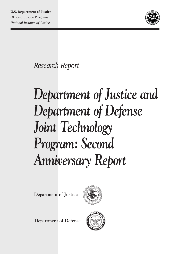

*Research Report*

# *Department of Justice and Department of Defense Joint Technology Program: Second Anniversary Report*

**Department of Justice**



**Department of Defense**

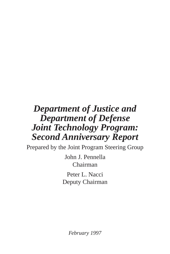## *Department of Justice and Department of Defense Joint Technology Program: Second Anniversary Report*

Prepared by the Joint Program Steering Group

John J. Pennella Chairman

Peter L. Nacci Deputy Chairman

*February 1997*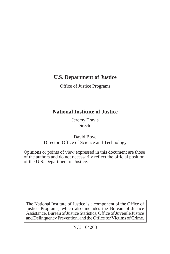## **U.S. Department of Justice**

Office of Justice Programs

## **National Institute of Justice**

Jeremy Travis Director

David Boyd Director, Office of Science and Technology

Opinions or points of view expressed in this document are those of the authors and do not necessarily reflect the official position of the U.S. Department of Justice.

The National Institute of Justice is a component of the Office of Justice Programs, which also includes the Bureau of Justice Assistance, Bureau of Justice Statistics, Office of Juvenile Justice and Delinquency Prevention, and the Office for Victims of Crime.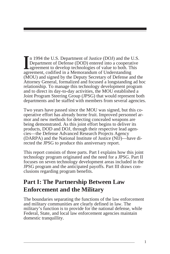In 1994 the U.S. Department of Justice (DOJ) and the U.S.<br>
Department of Defense (DOD) entered into a cooperative<br>
agreement to develop technologies of value to both. This n 1994 the U.S. Department of Justice (DOJ) and the U.S. Department of Defense (DOD) entered into a cooperative agreement, codified in a Memorandum of Understanding (MOU) and signed by the Deputy Secretary of Defense and the Attorney General, formalized and focused a longstanding ad hoc relationship. To manage this technology development program and to direct its day-to-day activities, the MOU established a Joint Program Steering Group (JPSG) that would represent both departments and be staffed with members from several agencies.

Two years have passed since the MOU was signed, but this cooperative effort has already borne fruit. Improved personnel armor and new methods for detecting concealed weapons are being demonstrated. As this joint effort begins to deliver its products, DOD and DOJ, through their respective lead agencies—the Defense Advanced Research Projects Agency (DARPA) and the National Institute of Justice (NIJ)—have directed the JPSG to produce this anniversary report.

This report consists of three parts. Part I explains how this joint technology program originated and the need for a JPSG. Part II focuses on seven technology development areas included in the JPSG program and the anticipated payoffs. Part III draws conclusions regarding program benefits.

## **Part I: The Partnership Between Law Enforcement and the Military**

The boundaries separating the functions of the law enforcement and military communities are clearly defined in law. The military's function is to provide for the national defense, while Federal, State, and local law enforcement agencies maintain domestic tranquillity.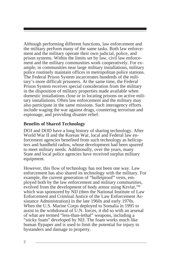Although performing different functions, law enforcement and the military perform many of the same tasks. Both law enforcement and the military operate their own judicial, police, and prison systems. Within the limits set by law, civil law enforcement and the military communities work cooperatively. For example, in communities near large military installations, military police routinely maintain offices in metropolitan police stations. The Federal Prison System incarcerates hundreds of the military's more difficult prisoners. At the same time, the Federal Prison System receives special consideration from the military in the disposition of military properties made available when domestic installations close or in locating prisons on active military installations. Often law enforcement and the military may also participate in the same missions. Such interagency efforts include waging the war against drugs, countering terrorism and espionage, and providing disaster relief.

#### **Benefits of Shared Technology**

DOJ and DOD have a long history of sharing technology. After World War II and the Korean War, local and Federal law enforcement agencies benefited from such technology as helicopters and handheld radios, whose development had been spurred to meet military needs. Additionally, over the years, many State and local police agencies have received surplus military equipment.

However, this flow of technology has not been one way. Law enforcement has also shared its technology with the military. For example, the current generation of "bulletproof" vests, employed both by the law enforcement and military communities, evolved from the development of body armor using Kevlar, $^{TM}$ which was sponsored by NIJ (then the National Institute of Law Enforcement and Criminal Justice of the Law Enforcement Assistance Administration) in the late 1960s and early 1970s. When the U.S. Marine Corps deployed to Somalia in 1995 to assist in the withdrawal of U.N. forces, it did so with an arsenal of what are termed "less-than-lethal" weapons, including a "sticky foam" developed by NIJ. The foam works much like human flypaper and is used to limit the potential for injury to bystanders and damage to property.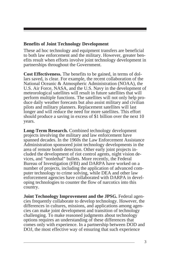#### **Benefits of Joint Technology Development**

These ad hoc technology and equipment transfers are beneficial to both law enforcement and the military. However, greater benefits result when efforts involve joint technology development in partnerships throughout the Government.

**Cost Effectiveness.** The benefits to be gained, in terms of dollars saved, is clear. For example, the recent collaboration of the National Oceanic & Atmospheric Administration (NOAA), the U.S. Air Force, NASA, and the U.S. Navy in the development of meteorological satellites will result in future satellites that will perform multiple functions. The satellites will not only help produce daily weather forecasts but also assist military and civilian pilots and military planners. Replacement satellites will last longer and will reduce the need for more satellites. This effort should produce a saving in excess of \$1 billion over the next 10 years.

**Long-Term Research.** Combined technology development projects involving the military and law enforcement have spanned decades. In the 1960s the Law Enforcement Assistance Administration sponsored joint technology developments in the area of remote bomb detection. Other early joint projects included the development of riot control agents, night vision devices, and "nonlethal" bullets. More recently, the Federal Bureau of Investigation (FBI) and DARPA have worked on a number of projects, including the application of advanced computer technology to crime solving, while DEA and other law enforcement agencies have collaborated with DARPA in developing technologies to counter the flow of narcotics into this country.

**Joint Technology Improvement and the JPSG.** Federal agencies frequently collaborate to develop technology. However, the differences in cultures, missions, and applications among agencies can make joint development and transition of technology challenging. To make reasoned judgments about technology options requires an understanding of these differences that comes only with experience. In a partnership between DOD and DOJ, the most effective way of ensuring that such experience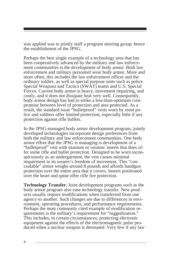was applied was to jointly staff a program steering group; hence the establishment of the JPSG.

Perhaps the best single example of a technology area that has been cooperatively advanced by the military and law enforcement communities is the development of body armor. Both law enforcement and military personnel wear body armor. More and more often, this includes the law enforcement officer and the ordinary soldier, as well as special purpose units such as police Special Weapons and Tactics (SWAT) teams and U.S. Special Forces. Current body armor is heavy, movement impairing, and costly, and it does not dissipate heat very well. Consequently, body armor design has had to strike a less-than-optimum compromise between level of protection and area protected. As a result, the standard issue "bulletproof" vests worn by most police and soldiers offer limited protection, especially little if any protection against rifle bullets.

In the JPSG-managed body armor development program, jointly developed technologies incorporate design preferences from both the military and law enforcement communities. One body armor effort that the JPSG is managing is development of a "bulletproof" vest with titanium or ceramic inserts that does offer some rifle and bullet protection. Designed to be worn inconspicuously as an undergarment, the vest causes minimal impairment to its wearer's freedom of movement. This "concealable" armor weighs around 8 pounds and affords handgun protection over the entire area that it covers. Inserts positioned over the heart and spine offer rifle fire protection.

**Technology Transfer.** Joint development programs such as the body armor program also ease technology transfer. New products usually require modifications when transferred from one agency to another. Such changes are due to differences in environment, operating procedures, and performance requirements. Perhaps the most commonly cited example of modification requirements is the military's requirement for "ruggedization." This includes, in certain circumstances, protecting electronic equipment against the effects of the electromagnetic pulse produced when a nuclear weapon is detonated. Very few if any law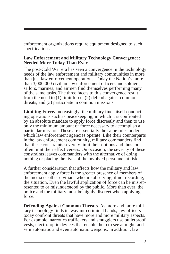enforcement organizations require equipment designed to such specifications.

#### **Law Enforcement and Military Technology Convergence: Needed More Today Than Ever**

The post-Cold War era has seen a convergence in the technology needs of the law enforcement and military communities in more than just law enforcement operations. Today the Nation's more than 3,000,000 civilian law enforcement officers and soldiers, sailors, marines, and airmen find themselves performing many of the same tasks. The three facets to this convergence result from the need to (1) limit force, (2) defend against common threats, and (3) participate in common missions.

**Limiting Force.** Increasingly, the military finds itself conducting operations such as peacekeeping, in which it is confronted by an absolute mandate to apply force discreetly and then to use only the minimum amount of force necessary to accomplish a particular mission. These are essentially the same rules under which law enforcement agencies operate. Like their counterparts in the law enforcement community, military commanders find that these constraints severely limit their options and thus too often limit their effectiveness. On occasion, the severity of these constraints leaves commanders with the alternative of doing nothing or placing the lives of the involved personnel at risk.

A further consideration that affects how the military and law enforcement apply force is the greater presence of members of the media or other civilians who are observing, if not recording, the situation. Even the lawful application of force can be misrepresented to or misunderstood by the public. More than ever, the police and the military must be highly discreet when applying force.

**Defending Against Common Threats.** As more and more military technology finds its way into criminal hands, law officers today confront threats that have more and more military aspects. For example, narcotics traffickers and smugglers use bulletproof vests, electro-optic devices that enable them to see at night, and semiautomatic and even automatic weapons. In addition, law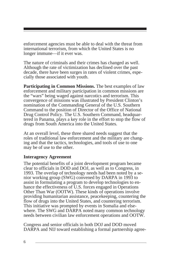enforcement agencies must be able to deal with the threat from international terrorism, from which the United States is no longer immune—if it ever was.

The nature of criminals and their crimes has changed as well. Although the rate of victimization has declined over the past decade, there have been surges in rates of violent crimes, especially those associated with youth.

**Participating in Common Missions.** The best examples of law enforcement and military participation in common missions are the "wars" being waged against narcotics and terrorism. This convergence of missions was illustrated by President Clinton's nomination of the Commanding General of the U.S. Southern Command to the position of Director of the Office of National Drug Control Policy. The U.S. Southern Command, headquartered in Panama, plays a key role in the effort to stop the flow of drugs from South America into the United States.

At an overall level, these three shared needs suggest that the roles of traditional law enforcement and the military are changing and that the tactics, technologies, and tools of use to one may be of use to the other.

#### **Interagency Agreement**

The potential benefits of a joint development program became clear to officials in DOD and DOJ, as well as to Congress, in 1993. The overlap of technology needs had been noted by a senior working group (SWG) convened by DARPA in 1993 to assist in formulating a program to develop technologies to enhance the effectiveness of U.S. forces engaged in Operations Other Than War (OOTW). These kinds of operations involve providing humanitarian assistance, peacekeeping, countering the flow of drugs into the United States, and countering terrorism. This initiative was prompted by events in Somalia and elsewhere. The SWG and DARPA noted many common technology needs between civilian law enforcement operations and OOTW.

Congress and senior officials in both DOJ and DOD moved DARPA and NIJ toward establishing a formal partnership agree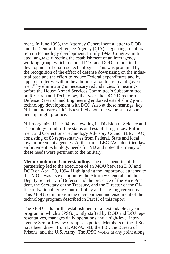ment. In June 1993, the Attorney General sent a letter to DOD and the Central Intelligence Agency (CIA) suggesting collaboration on technology development. In July 1993, Congress initiated language directing the establishment of an interagency working group, which included DOJ and DOD, to look to the development of dual-use technologies. This was prompted by the recognition of the effect of defense downsizing on the industrial base and the effort to reduce Federal expenditures and by apparent interest within the administration to "reinvent government" by eliminating unnecessary redundancies. In hearings before the House Armed Services Committee's Subcommittee on Research and Technology that year, the DOD Director of Defense Research and Engineering endorsed establishing joint technology development with DOJ. Also at these hearings, key NIJ and industry officials testified about the value such a partnership might produce.

NIJ reorganized in 1994 by elevating its Division of Science and Technology to full office status and establishing a Law Enforcement and Corrections Technology Advisory Council (LECTAC) consisting of 85 representatives from Federal, State and local law enforcement agencies. At that time, LECTAC identified law enforcement technology needs for NIJ and noted that many of these needs were pertinent to the military.

**Memorandum of Understanding.** The clear benefits of this partnership led to the execution of an MOU between DOJ and DOD on April 20, 1994. Highlighting the importance attached to this MOU was its execution by the Attorney General and the Deputy Secretary of Defense and the presence of the Vice President, the Secretary of the Treasury, and the Director of the Office of National Drug Control Policy at the signing ceremony. This MOU set in motion the development and enactment of the technology program described in Part II of this report.

The MOU calls for the establishment of an extendable 5-year program in which a JPSG, jointly staffed by DOD and DOJ representatives, manages daily operations and a high-level interagency Senior Review Group sets policy. Members of the JPSG have been drawn from DARPA, NIJ, the FBI, the Bureau of Prisons, and the U.S. Army. The JPSG works at any point along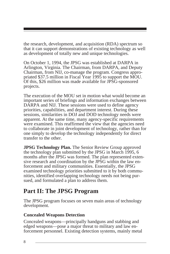the research, development, and acquisition (RDA) spectrum so that it can support demonstrations of existing technology as well as development of totally new and unique technologies.

On October 1, 1994, the JPSG was established at DARPA in Arlington, Virginia. The Chairman, from DARPA, and Deputy Chairman, from NIJ, co-manage the program. Congress appropriated \$37.5 million in Fiscal Year 1995 to support the MOU. Of this, \$26 million was made available for JPSG-sponsored projects.

The execution of the MOU set in motion what would become an important series of briefings and information exchanges between DARPA and NIJ. These sessions were used to define agency priorities, capabilities, and department interest. During these sessions, similarities in DOJ and DOD technology needs were apparent. At the same time, many agency-specific requirements were examined. This reaffirmed the view that the agencies need to collaborate in joint development of technology, rather than for one simply to develop the technology independently for direct transfer to the other.

**JPSG Technology Plan.** The Senior Review Group approved the technology plan submitted by the JPSG in March 1995, 6 months after the JPSG was formed. The plan represented extensive research and coordination by the JPSG within the law enforcement and military communities. Essentially, the JPSG examined technology priorities submitted to it by both communities, identified overlapping technology needs not being pursued, and formulated a plan to address them.

## **Part II: The JPSG Program**

The JPSG program focuses on seven main areas of technology development.

#### **Concealed Weapons Detection**

Concealed weapons—principally handguns and stabbing and edged weapons—pose a major threat to military and law enforcement personnel. Existing detection systems, mainly metal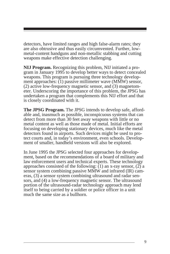detectors, have limited ranges and high false-alarm rates; they are also obtrusive and thus easily circumvented. Further, lowmetal-content handguns and non-metallic stabbing and cutting weapons make effective detection challenging.

**NIJ Program.** Recognizing this problem, NIJ initiated a program in January 1995 to develop better ways to detect concealed weapons. This program is pursuing three technology development approaches: (1) passive millimeter wave (MMW) sensor, (2) active low-frequency magnetic sensor, and (3) magnetometer. Underscoring the importance of this problem, the JPSG has undertaken a program that complements this NIJ effort and that is closely coordinated with it.

**The JPSG Program.** The JPSG intends to develop safe, affordable and, inasmuch as possible, inconspicuous systems that can detect from more than 30 feet away weapons with little or no metal content as well as those made of metal. Initial efforts are focusing on developing stationary devices, much like the metal detectors found in airports. Such devices might be used to protect courts and, in today's environment, even schools. Development of smaller, handheld versions will also be explored.

In June 1995 the JPSG selected four approaches for development, based on the recommendations of a board of military and law enforcement users and technical experts. These technology approaches consisted of the following: (1) an x-ray sensor, (2) a sensor system combining passive MMW and infrared (IR) cameras, (3) a sensor system combining ultrasound and radar sensors, and (4) a low-frequency magnetic sensor. The ultrasound portion of the ultrasound-radar technology approach may lend itself to being carried by a soldier or police officer in a unit much the same size as a bullhorn.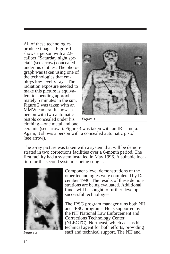All of these technologies produce images. Figure 1 shows a person with a 22 caliber "Saturday night special" (see arrow) concealed under his clothes. The photograph was taken using one of the technologies that employs low level x-rays. The radiation exposure needed to make this picture is equivalent to spending approximately 5 minutes in the sun. Figure 2 was taken with an MMW camera. It shows a person with two automatic pistols concealed under his clothing—one metal and one



*Figure 1*

ceramic (see arrows). Figure 3 was taken with an IR camera. Again, it shows a person with a concealed automatic pistol (see arrow).

The x-ray picture was taken with a system that will be demonstrated in two corrections facilities over a 6-month period. The first facility had a system installed in May 1996. A suitable location for the second system is being sought.



Component-level demonstrations of the other technologies were completed by December 1996. The results of these demonstrations are being evaluated. Additional funds will be sought to further develop successful technologies.

The JPSG program manager runs both NIJ and JPSG programs. He is supported by the NIJ National Law Enforcement and Corrections Technology Center (NLECTC)–Northeast, which acts as his technical agent for both efforts, providing *Figure 2* staff and technical support. The NIJ and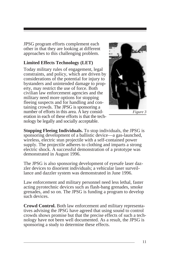JPSG program efforts complement each other in that they are looking at different approaches to this challenging problem.

#### **Limited Effects Technology (LET)**

Today military rules of engagement, legal constraints, and policy, which are driven by considerations of the potential for injury to bystanders and unintended damage to property, may restrict the use of force. Both civilian law enforcement agencies and the military need more options for stopping fleeing suspects and for handling and containing crowds. The JPSG is sponsoring a number of efforts in this area. A key consideration in each of these efforts is that the technology be legally and socially acceptable.



*Figure 3*

**Stopping Fleeing Individuals.** To stop individuals, the JPSG is sponsoring development of a ballistic device—a gas-launched, wireless, electric stun projectile with a self-contained power supply. The projectile adheres to clothing and imparts a strong electric shock. A successful demonstration of a prototype was demonstrated in August 1996.

The JPSG is also sponsoring development of eyesafe laser dazzler devices to disorient individuals; a vehicular laser surveillance and dazzler system was demonstrated in June 1996.

Law enforcement and military personnel need less lethal, faster acting pyrotechnic devices such as flash-bang grenades, smoke grenades, and so on. The JPSG is funding a program to develop such devices.

**Crowd Control.** Both law enforcement and military representatives advising the JPSG have agreed that using sound to control crowds shows promise but that the precise effects of such a technology have not been well documented. As a result, the JPSG is sponsoring a study to determine these effects.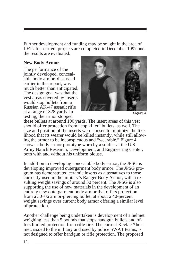Further development and funding may be sought in the area of LET after current projects are completed in December 1997 and the results are evaluated.

#### **New Body Armor**

The performance of the jointly developed, concealable body armor, discussed earlier in this report, was much better than anticipated. The design goal was that the vest areas covered by inserts would stop bullets from a Russian AK-47 assault rifle at a range of 328 yards. In testing, the armor stopped



*Figure 4*

these bullets at around 190 yards. The insert areas of this vest should offer protection from "cop killer" bullets, as well. The size and position of the inserts were chosen to minimize the likelihood that its wearer would be killed instantly, while still allowing the armor to be inconspicuous and "wearable." Figure 4 shows a body armor prototype worn by a soldier at the U.S. Army Natick Research, Development, and Engineering Center, both with and without his uniform blouse.

In addition to developing concealable body armor, the JPSG is developing improved outergarment body armor. The JPSG program has demonstrated ceramic inserts as alternatives to those currently used in the military's Ranger Body Armor, with a resulting weight savings of around 30 percent. The JPSG is also supporting the use of new materials in the development of an entirely new outergarment body armor that offers protection from a 30–06 armor-piercing bullet, at about a 40-percent weight savings over current body armor offering a similar level of protection.

Another challenge being undertaken is development of a helmet weighing less than 5 pounds that stops handgun bullets and offers limited protection from rifle fire. The current Kevlar<sup>TM</sup> helmet, issued to the military and used by police SWAT teams, is not designed to offer handgun or rifle protection. The proposed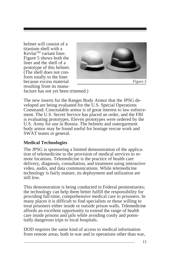helmet will consist of a titanium shell with a Kevlar<sup>™</sup> variant liner. Figure 5 shows both the liner and the shell of a prototype of this helmet. (The shell does not conform totally to the liner because excess material resulting from its manu-



facture has not yet been trimmed.)

The new inserts for the Ranger Body Armor that the JPSG developed are being evaluated for the U.S. Special Operations Command. Concealable armor is of great interest to law enforcement. The U.S. Secret Service has placed an order, and the FBI is evaluating prototypes. Eleven prototypes were ordered by the U.S. Army for use in Bosnia. The helmets and outergarment body armor may be found useful for hostage rescue work and SWAT teams in general.

#### **Medical Technologies**

The JPSG is sponsoring a limited demonstration of the application of telemedicine to the provision of medical services to remote locations. Telemedicine is the practice of health care delivery, diagnosis, consultation, and treatment using interactive video, audio, and data communications. While telemedicine technology is fairly mature, its deployment and utilization are still low.

This demonstration is being conducted in Federal penitentiaries; the technology can help them better fulfill the responsibility for providing full-time, comprehensive medical care to prisoners. In many places it is difficult to find specialists or those willing to treat prisoners either inside or outside prison walls. Telemedicine affords an excellent opportunity to extend the range of health care inside prisons and jails while avoiding costly and potentially dangerous trips to local hospitals.

DOD requires the same kind of access to medical information from remote areas, both in war and in operations other than war,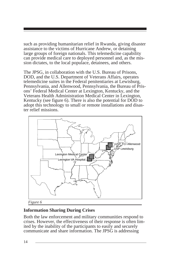such as providing humanitarian relief in Rwanda, giving disaster assistance to the victims of Hurricane Andrew, or detaining large groups of foreign nationals. This telemedicine capability can provide medical care to deployed personnel and, as the mission dictates, to the local populace, detainees, and others.

The JPSG, in collaboration with the U.S. Bureau of Prisons, DOD, and the U.S. Department of Veterans Affairs, operates telemedicine suites in the Federal penitentiaries at Lewisburg, Pennsylvania, and Allenwood, Pennsylvania, the Bureau of Prisons' Federal Medical Center at Lexington, Kentucky, and the Veterans Health Administration Medical Center in Lexington, Kentucky (see figure 6). There is also the potential for DOD to adopt this technology to small or remote installations and disaster relief missions.



*Figure 6*

#### **Information Sharing During Crises**

Both the law enforcement and military communities respond to crises. However, the effectiveness of their response is often limited by the inability of the participants to easily and securely communicate and share information. The JPSG is addressing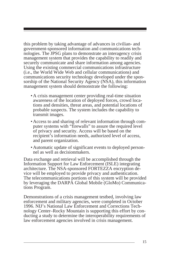this problem by taking advantage of advances in civilian- and government-sponsored information and communications technologies. The JPSG plans to demonstrate an interagency crisis management system that provides the capability to readily and securely communicate and share information among agencies. Using the existing commercial communications infrastructure (i.e., the World Wide Web and cellular communications) and communications security technology developed under the sponsorship of the National Security Agency (NSA), this information management system should demonstrate the following:

- A crisis management center providing real-time situation awareness of the location of deployed forces, crowd locations and densities, threat areas, and potential locations of probable suspects. The system includes the capability to transmit images.
- Access to and sharing of relevant information through computer systems with "firewalls" to assure the required level of privacy and security. Access will be based on the recipient's information needs, authorized level of access, and parent organization.
- Automatic update of significant events to deployed personnel as well as decisionmakers.

Data exchange and retrieval will be accomplished through the Information Support for Law Enforcement (ISLE) integrating architecture. The NSA-sponsored FORTEZZA encryption device will be employed to provide privacy and authentication. The telecommunications portions of this system will be provided by leveraging the DARPA Global Mobile (GloMo) Communications Program.

Demonstrations of a crisis management testbed, involving law enforcement and military agencies, were completed in October 1996. NIJ's National Law Enforcement and Corrections Technology Center–Rocky Mountain is supporting this effort by conducting a study to determine the interoperability requirements of law enforcement agencies involved in crisis management.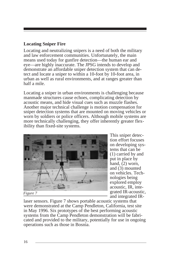#### **Locating Sniper Fire**

Locating and neutralizing snipers is a need of both the military and law enforcement communities. Unfortunately, the main means used today for gunfire detection—the human ear and eye—are highly inaccurate. The JPSG intends to develop and demonstrate an affordable sniper detection system that can detect and locate a sniper to within a 10-foot by 10-foot area, in urban as well as rural environments, and at ranges greater than half a mile.

Locating a sniper in urban environments is challenging because manmade structures cause echoes, complicating detection by acoustic means, and hide visual cues such as muzzle flashes. Another major technical challenge is motion compensation for sniper detection systems that are mounted on moving vehicles or worn by soldiers or police officers. Although mobile systems are more technically challenging, they offer inherently greater flexibility than fixed-site systems.



This sniper detection effort focuses on developing systems that can be (1) carried by and put in place by hand,  $(2)$  worn, and (3) mounted on vehicles. Technologies being explored employ acoustic, IR, integrated IR-acoustic, and integrated IR-

laser sensors. Figure 7 shows portable acoustic systems that were demonstrated at the Camp Pendleton, California, test site in May 1996. Six prototypes of the best performing acoustic systems from the Camp Pendleton demonstration will be fabricated and provided to the military, potentially for use in ongoing operations such as those in Bosnia.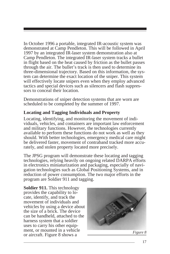In October 1996 a portable, integrated IR-acoustic system was demonstrated at Camp Pendleton. This will be followed in April 1997 by an integrated IR-laser system demonstration also at Camp Pendleton. The integrated IR-laser system tracks a bullet in flight based on the heat caused by friction as the bullet passes through the air. The bullet's track is then used to determine its three-dimensional trajectory. Based on this information, the system can determine the exact location of the sniper. This system will effectively locate snipers even when they employ advanced tactics and special devices such as silencers and flash suppressors to conceal their location.

Demonstrations of sniper detection systems that are worn are scheduled to be completed by the summer of 1997.

#### **Locating and Tagging Individuals and Property**

Locating, identifying, and monitoring the movement of individuals, vehicles, and containers are important law enforcement and military functions. However, the technologies currently available to perform these functions do not work as well as they should. With better technologies, emergency medical care might be delivered faster, movement of contraband tracked more accurately, and stolen property located more precisely.

The JPSG program will demonstrate these locating and tagging technologies, relying heavily on ongoing related DARPA efforts in electronics miniaturization and packaging, especially of navigation technologies such as Global Positioning Systems, and in reduction of power consumption. The two major efforts in the program are Soldier 911 and tagging.

**Soldier 911.** This technology provides the capability to locate, identify, and track the movement of individuals and vehicles by using a device about the size of a brick. The device can be handheld, attached to the harness system that a soldier uses to carry his other equipment, or mounted in a vehicle or aircraft. Figure 8 shows a *Figure 8* 

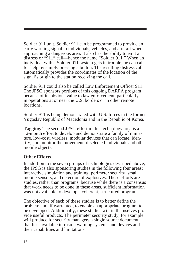Soldier 911 unit. Soldier 911 can be programmed to provide an early warning signal to individuals, vehicles, and aircraft when approaching a dangerous area. It also has the ability to emit a distress or "911" call—hence the name "Soldier 911." When an individual with a Soldier 911 system gets in trouble, he can call for help by simply pressing a button. The resulting distress call automatically provides the coordinates of the location of the signal's origin to the station receiving the call.

Soldier 911 could also be called Law Enforcement Officer 911. The JPSG sponsors portions of this ongoing DARPA program because of its obvious value to law enforcement, particularly in operations at or near the U.S. borders or in other remote locations.

Soldier 911 is being demonstrated with U.S. forces in the former Yugoslav Republic of Macedonia and in the Republic of Korea.

**Tagging.** The second JPSG effort in this technology area is a 12-month effort to develop and demonstrate a family of miniature, low-cost, wireless, modular devices that can locate, identify, and monitor the movement of selected individuals and other mobile objects.

#### **Other Efforts**

In addition to the seven groups of technologies described above, the JPSG is also sponsoring studies in the following four areas: interactive simulation and training, perimeter security, small mobile sensors, and detection of explosives. These efforts are studies, rather than programs, because while there is a consensus that work needs to be done in these areas, sufficient information was not available to develop a coherent, structured program.

The objective of each of these studies is to better define the problem and, if warranted, to enable an appropriate program to be developed. Additionally, these studies will in themselves provide useful products. The perimeter security study, for example, will produce for security managers a single source document that lists available intrusion warning systems and devices and their capabilities and limitations.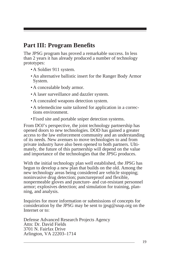### **Part III: Program Benefits**

The JPSG program has proved a remarkable success. In less than 2 years it has already produced a number of technology prototypes:

- A Soldier 911 system.
- An alternative ballistic insert for the Ranger Body Armor System.
- A concealable body armor.
- A laser surveillance and dazzler system.
- A concealed weapons detection system.
- A telemedicine suite tailored for application in a corrections environment.
- Fixed site and portable sniper detection systems.

From DOJ's perspective, the joint technology partnership has opened doors to new technologies. DOD has gained a greater access to the law enforcement community and an understanding of its needs. New avenues to move technologies to and from private industry have also been opened to both partners. Ultimately, the future of this partnership will depend on the value and importance of the technologies that the JPSG produces.

With the initial technology plan well established, the JPSG has begun to develop a new plan that builds on the old. Among the new technology areas being considered are vehicle stopping; noninvasive drug detection; punctureproof and flexible, nonpermeable gloves and puncture- and cut-resistant personnel armor; explosives detection; and simulation for training, planning, and analysis.

Inquiries for more information or submissions of concepts for consideration by the JPSG may be sent to jpsg@snap.org on the Internet or to:

Defense Advanced Research Projects Agency Attn: Dr. David Fields 3701 N. Fairfax Drive Arlington, VA 22203–1714